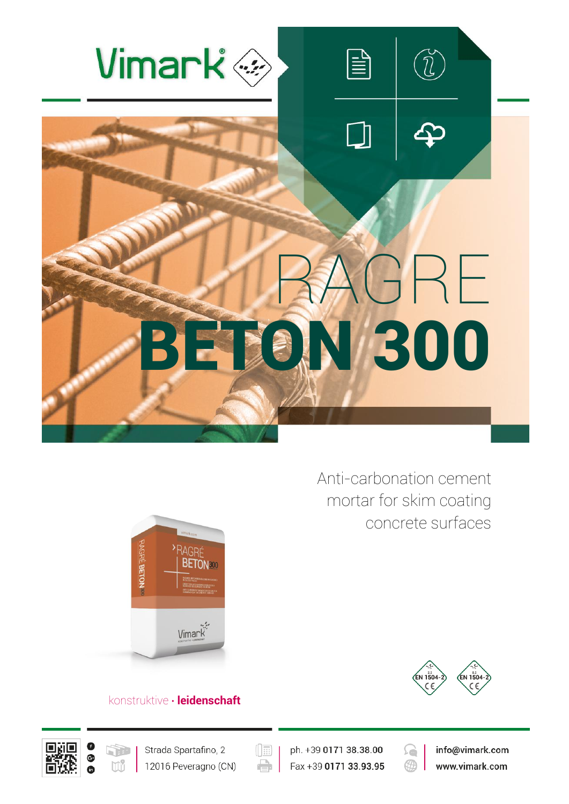

Anti-carbonation cement mortar for skim coating concrete surfaces





## konstruktive **∙ leidenschaft**





 $(\boxed{\mathbb{H}}$ e

ph. +39 0171 38.38.00 Fax +39 0171 33.93.95



info@vimark.com www.vimark.com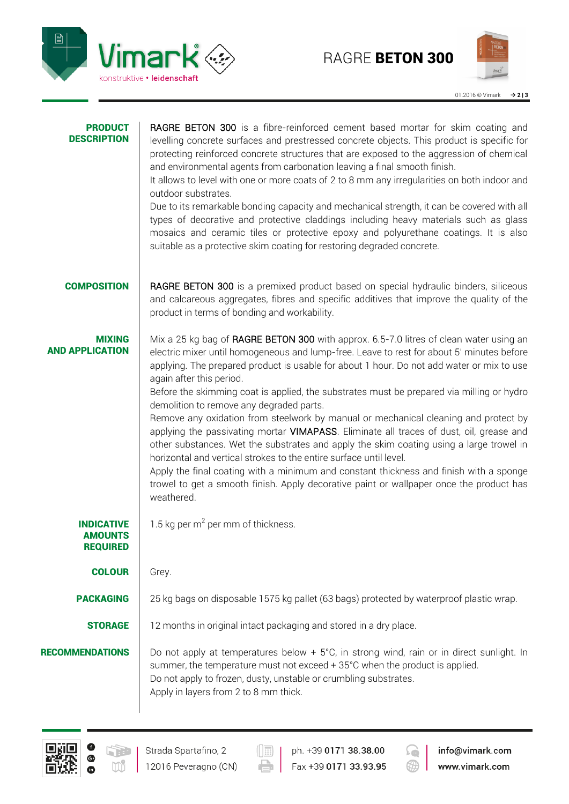

|  | 01.2016 © Vimark | $\rightarrow$ 213 |  |
|--|------------------|-------------------|--|
|--|------------------|-------------------|--|

| <b>PRODUCT</b><br><b>DESCRIPTION</b>                   | RAGRE BETON 300 is a fibre-reinforced cement based mortar for skim coating and<br>levelling concrete surfaces and prestressed concrete objects. This product is specific for<br>protecting reinforced concrete structures that are exposed to the aggression of chemical<br>and environmental agents from carbonation leaving a final smooth finish.<br>It allows to level with one or more coats of 2 to 8 mm any irregularities on both indoor and<br>outdoor substrates.<br>Due to its remarkable bonding capacity and mechanical strength, it can be covered with all<br>types of decorative and protective claddings including heavy materials such as glass<br>mosaics and ceramic tiles or protective epoxy and polyurethane coatings. It is also<br>suitable as a protective skim coating for restoring degraded concrete.                                                                                                                                                                          |
|--------------------------------------------------------|-------------------------------------------------------------------------------------------------------------------------------------------------------------------------------------------------------------------------------------------------------------------------------------------------------------------------------------------------------------------------------------------------------------------------------------------------------------------------------------------------------------------------------------------------------------------------------------------------------------------------------------------------------------------------------------------------------------------------------------------------------------------------------------------------------------------------------------------------------------------------------------------------------------------------------------------------------------------------------------------------------------|
| <b>COMPOSITION</b>                                     | RAGRE BETON 300 is a premixed product based on special hydraulic binders, siliceous<br>and calcareous aggregates, fibres and specific additives that improve the quality of the<br>product in terms of bonding and workability.                                                                                                                                                                                                                                                                                                                                                                                                                                                                                                                                                                                                                                                                                                                                                                             |
| MIXING<br><b>AND APPLICATION</b>                       | Mix a 25 kg bag of RAGRE BETON 300 with approx. 6.5-7.0 litres of clean water using an<br>electric mixer until homogeneous and lump-free. Leave to rest for about 5' minutes before<br>applying. The prepared product is usable for about 1 hour. Do not add water or mix to use<br>again after this period.<br>Before the skimming coat is applied, the substrates must be prepared via milling or hydro<br>demolition to remove any degraded parts.<br>Remove any oxidation from steelwork by manual or mechanical cleaning and protect by<br>applying the passivating mortar VIMAPASS. Eliminate all traces of dust, oil, grease and<br>other substances. Wet the substrates and apply the skim coating using a large trowel in<br>horizontal and vertical strokes to the entire surface until level.<br>Apply the final coating with a minimum and constant thickness and finish with a sponge<br>trowel to get a smooth finish. Apply decorative paint or wallpaper once the product has<br>weathered. |
| <b>INDICATIVE</b><br><b>AMOUNTS</b><br><b>REQUIRED</b> | 1.5 kg per $m^2$ per mm of thickness.                                                                                                                                                                                                                                                                                                                                                                                                                                                                                                                                                                                                                                                                                                                                                                                                                                                                                                                                                                       |
| <b>COLOUR</b>                                          | Grey.                                                                                                                                                                                                                                                                                                                                                                                                                                                                                                                                                                                                                                                                                                                                                                                                                                                                                                                                                                                                       |
| <b>PACKAGING</b>                                       | 25 kg bags on disposable 1575 kg pallet (63 bags) protected by waterproof plastic wrap.                                                                                                                                                                                                                                                                                                                                                                                                                                                                                                                                                                                                                                                                                                                                                                                                                                                                                                                     |
| <b>STORAGE</b>                                         | 12 months in original intact packaging and stored in a dry place.                                                                                                                                                                                                                                                                                                                                                                                                                                                                                                                                                                                                                                                                                                                                                                                                                                                                                                                                           |
| <b>RECOMMENDATIONS</b>                                 | Do not apply at temperatures below + 5°C, in strong wind, rain or in direct sunlight. In<br>summer, the temperature must not exceed + 35°C when the product is applied.<br>Do not apply to frozen, dusty, unstable or crumbling substrates.<br>Apply in layers from 2 to 8 mm thick.                                                                                                                                                                                                                                                                                                                                                                                                                                                                                                                                                                                                                                                                                                                        |



000

12016 Peveragno (CN)

ph. +39 0171 38.38.00  $\oplus$ Fax +39 0171 33.93.95



info@vimark.com www.vimark.com